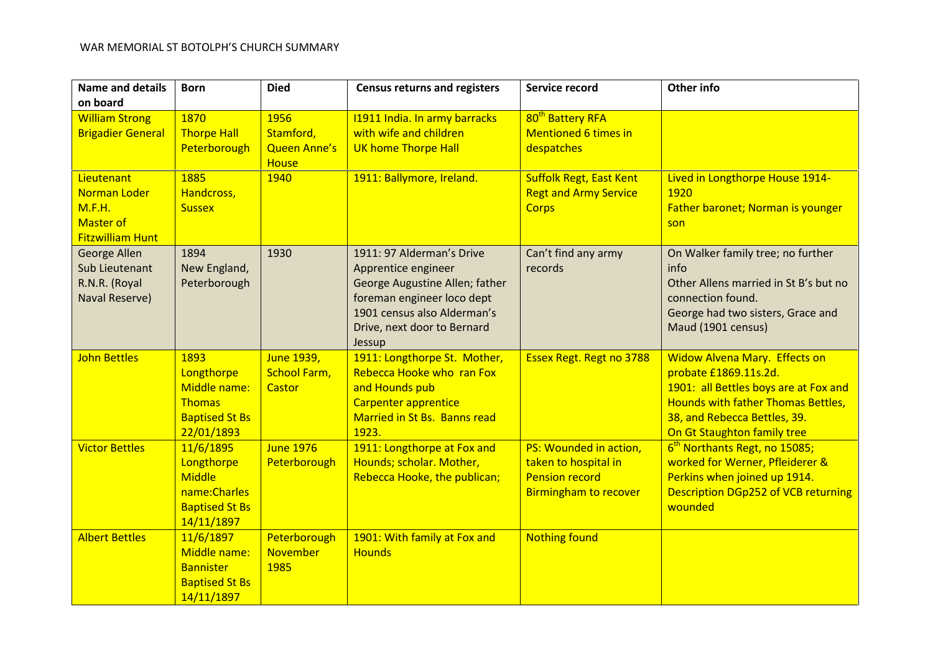| <b>Name and details</b>                                                             | <b>Born</b>                                                                                      | <b>Died</b>                                 | <b>Census returns and registers</b>                                                                                                                                                      | Service record                                                                                          | <b>Other info</b>                                                                                                                                                                                           |
|-------------------------------------------------------------------------------------|--------------------------------------------------------------------------------------------------|---------------------------------------------|------------------------------------------------------------------------------------------------------------------------------------------------------------------------------------------|---------------------------------------------------------------------------------------------------------|-------------------------------------------------------------------------------------------------------------------------------------------------------------------------------------------------------------|
| on board                                                                            |                                                                                                  |                                             |                                                                                                                                                                                          |                                                                                                         |                                                                                                                                                                                                             |
| <b>William Strong</b><br><b>Brigadier General</b>                                   | 1870<br><b>Thorpe Hall</b><br>Peterborough                                                       | 1956<br>Stamford,<br><b>Queen Anne's</b>    | 11911 India. In army barracks<br>with wife and children<br>UK home Thorpe Hall                                                                                                           | 80 <sup>th</sup> Battery RFA<br><b>Mentioned 6 times in</b><br>despatches                               |                                                                                                                                                                                                             |
| Lieutenant<br>Norman Loder<br>M.F.H.<br><b>Master of</b><br><b>Fitzwilliam Hunt</b> | 1885<br>Handcross,<br><b>Sussex</b>                                                              | <b>House</b><br>1940                        | 1911: Ballymore, Ireland.                                                                                                                                                                | <b>Suffolk Regt, East Kent</b><br><b>Regt and Army Service</b><br><b>Corps</b>                          | Lived in Longthorpe House 1914-<br>1920<br>Father baronet; Norman is younger<br>son                                                                                                                         |
| George Allen<br>Sub Lieutenant<br>R.N.R. (Royal<br>Naval Reserve)                   | 1894<br>New England,<br>Peterborough                                                             | 1930                                        | 1911: 97 Alderman's Drive<br>Apprentice engineer<br>George Augustine Allen; father<br>foreman engineer loco dept<br>1901 census also Alderman's<br>Drive, next door to Bernard<br>Jessup | Can't find any army<br>records                                                                          | On Walker family tree; no further<br>info<br>Other Allens married in St B's but no<br>connection found.<br>George had two sisters, Grace and<br>Maud (1901 census)                                          |
| <b>John Bettles</b>                                                                 | 1893<br>Longthorpe<br>Middle name:<br><b>Thomas</b><br><b>Baptised St Bs</b><br>22/01/1893       | June 1939,<br><b>School Farm,</b><br>Castor | 1911: Longthorpe St. Mother,<br>Rebecca Hooke who ran Fox<br>and Hounds pub<br><b>Carpenter apprentice</b><br>Married in St Bs. Banns read<br>1923.                                      | <b>Essex Regt. Regt no 3788</b>                                                                         | <b>Widow Alvena Mary. Effects on</b><br>probate £1869.11s.2d.<br>1901: all Bettles boys are at Fox and<br>Hounds with father Thomas Bettles,<br>38, and Rebecca Bettles, 39.<br>On Gt Staughton family tree |
| <b>Victor Bettles</b>                                                               | 11/6/1895<br>Longthorpe<br><b>Middle</b><br>name: Charles<br><b>Baptised St Bs</b><br>14/11/1897 | <b>June 1976</b><br>Peterborough            | 1911: Longthorpe at Fox and<br>Hounds; scholar. Mother,<br>Rebecca Hooke, the publican;                                                                                                  | PS: Wounded in action,<br>taken to hospital in<br><b>Pension record</b><br><b>Birmingham to recover</b> | 6 <sup>th</sup> Northants Regt, no 15085;<br>worked for Werner, Pfleiderer &<br>Perkins when joined up 1914.<br><b>Description DGp252 of VCB returning</b><br>wounded                                       |
| <b>Albert Bettles</b>                                                               | 11/6/1897<br>Middle name:<br><b>Bannister</b><br><b>Baptised St Bs</b><br>14/11/1897             | Peterborough<br><b>November</b><br>1985     | 1901: With family at Fox and<br><b>Hounds</b>                                                                                                                                            | <b>Nothing found</b>                                                                                    |                                                                                                                                                                                                             |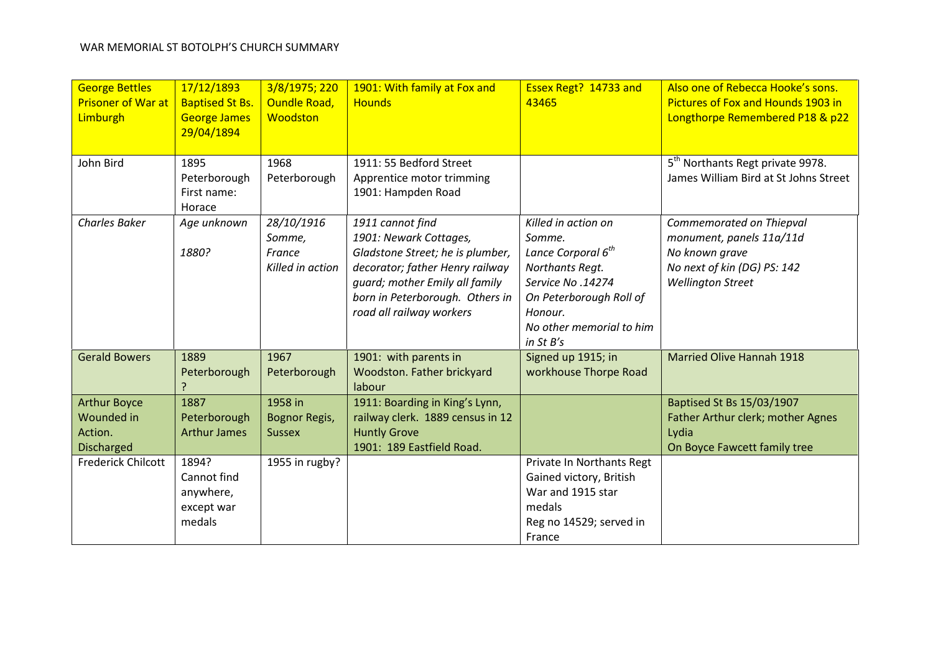| <b>George Bettles</b><br><b>Prisoner of War at</b><br>Limburgh    | 17/12/1893<br><b>Baptised St Bs.</b><br><b>George James</b><br>29/04/1894 | 3/8/1975; 220<br><b>Oundle Road,</b><br>Woodston   | 1901: With family at Fox and<br><b>Hounds</b>                                                                                                                                                                      | Essex Regt? 14733 and<br>43465                                                                                                                                                          | Also one of Rebecca Hooke's sons.<br>Pictures of Fox and Hounds 1903 in<br>Longthorpe Remembered P18 & p22                        |
|-------------------------------------------------------------------|---------------------------------------------------------------------------|----------------------------------------------------|--------------------------------------------------------------------------------------------------------------------------------------------------------------------------------------------------------------------|-----------------------------------------------------------------------------------------------------------------------------------------------------------------------------------------|-----------------------------------------------------------------------------------------------------------------------------------|
| John Bird                                                         | 1895<br>Peterborough<br>First name:<br>Horace                             | 1968<br>Peterborough                               | 1911: 55 Bedford Street<br>Apprentice motor trimming<br>1901: Hampden Road                                                                                                                                         |                                                                                                                                                                                         | 5 <sup>th</sup> Northants Regt private 9978.<br>James William Bird at St Johns Street                                             |
| <b>Charles Baker</b>                                              | Age unknown<br>1880?                                                      | 28/10/1916<br>Somme,<br>France<br>Killed in action | 1911 cannot find<br>1901: Newark Cottages,<br>Gladstone Street; he is plumber,<br>decorator; father Henry railway<br>quard; mother Emily all family<br>born in Peterborough. Others in<br>road all railway workers | Killed in action on<br>Somme.<br>Lance Corporal 6 <sup>th</sup><br>Northants Regt.<br>Service No.14274<br>On Peterborough Roll of<br>Honour.<br>No other memorial to him<br>in $St B's$ | Commemorated on Thiepval<br>monument, panels 11a/11d<br>No known grave<br>No next of kin (DG) PS: 142<br><b>Wellington Street</b> |
| <b>Gerald Bowers</b>                                              | 1889<br>Peterborough                                                      | 1967<br>Peterborough                               | 1901: with parents in<br>Woodston. Father brickyard<br>labour                                                                                                                                                      | Signed up 1915; in<br>workhouse Thorpe Road                                                                                                                                             | <b>Married Olive Hannah 1918</b>                                                                                                  |
| <b>Arthur Boyce</b><br>Wounded in<br>Action.<br><b>Discharged</b> | 1887<br>Peterborough<br><b>Arthur James</b>                               | 1958 in<br>Bognor Regis,<br><b>Sussex</b>          | 1911: Boarding in King's Lynn,<br>railway clerk. 1889 census in 12<br><b>Huntly Grove</b><br>1901: 189 Eastfield Road.                                                                                             |                                                                                                                                                                                         | Baptised St Bs 15/03/1907<br>Father Arthur clerk; mother Agnes<br>Lydia<br>On Boyce Fawcett family tree                           |
| <b>Frederick Chilcott</b>                                         | 1894?<br>Cannot find<br>anywhere,<br>except war<br>medals                 | 1955 in rugby?                                     |                                                                                                                                                                                                                    | Private In Northants Regt<br>Gained victory, British<br>War and 1915 star<br>medals<br>Reg no 14529; served in<br>France                                                                |                                                                                                                                   |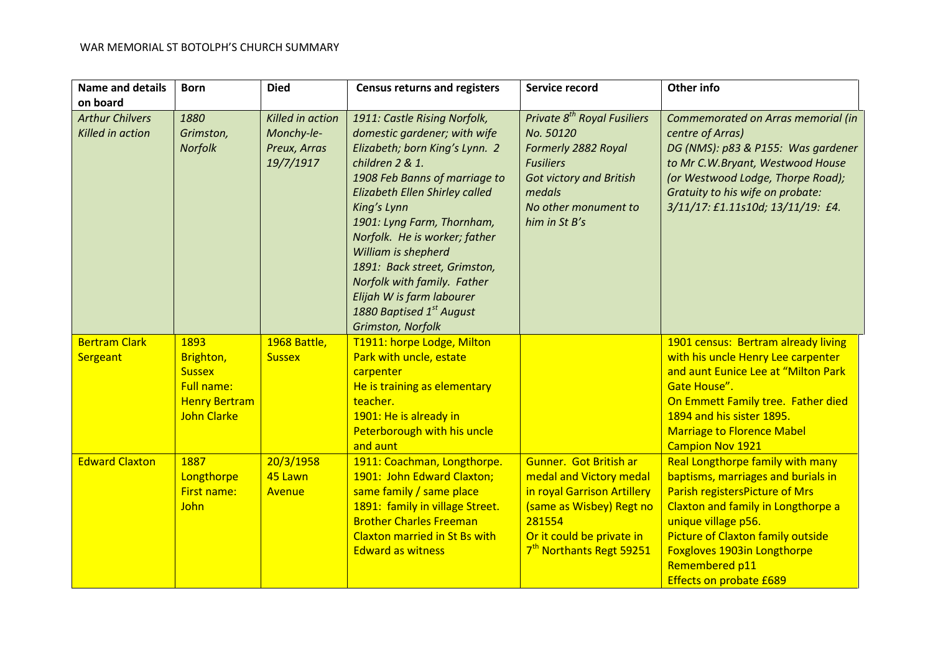| <b>Name and details</b><br>on board        | <b>Born</b>                                                                                           | <b>Died</b>                                                 | <b>Census returns and registers</b>                                                                                                                                                                                                                                                                                                                                                                                                    | Service record                                                                                                                                                                              | Other info                                                                                                                                                                                                                                                                                                  |
|--------------------------------------------|-------------------------------------------------------------------------------------------------------|-------------------------------------------------------------|----------------------------------------------------------------------------------------------------------------------------------------------------------------------------------------------------------------------------------------------------------------------------------------------------------------------------------------------------------------------------------------------------------------------------------------|---------------------------------------------------------------------------------------------------------------------------------------------------------------------------------------------|-------------------------------------------------------------------------------------------------------------------------------------------------------------------------------------------------------------------------------------------------------------------------------------------------------------|
| <b>Arthur Chilvers</b><br>Killed in action | 1880<br>Grimston,<br>Norfolk                                                                          | Killed in action<br>Monchy-le-<br>Preux, Arras<br>19/7/1917 | 1911: Castle Rising Norfolk,<br>domestic gardener; with wife<br>Elizabeth; born King's Lynn. 2<br>children 2 & 1.<br>1908 Feb Banns of marriage to<br>Elizabeth Ellen Shirley called<br>King's Lynn<br>1901: Lyng Farm, Thornham,<br>Norfolk. He is worker; father<br>William is shepherd<br>1891: Back street, Grimston,<br>Norfolk with family. Father<br>Elijah W is farm labourer<br>1880 Baptised 1st August<br>Grimston, Norfolk | Private 8 <sup>th</sup> Royal Fusiliers<br>No. 50120<br>Formerly 2882 Royal<br><b>Fusiliers</b><br><b>Got victory and British</b><br>medals<br>No other monument to<br>him in St B's        | Commemorated on Arras memorial (in<br>centre of Arras)<br>DG (NMS): p83 & P155: Was gardener<br>to Mr C.W.Bryant, Westwood House<br>(or Westwood Lodge, Thorpe Road);<br>Gratuity to his wife on probate:<br>3/11/17: £1.11s10d; 13/11/19: £4.                                                              |
| <b>Bertram Clark</b><br>Sergeant           | 1893<br>Brighton,<br><b>Sussex</b><br><b>Full name:</b><br><b>Henry Bertram</b><br><b>John Clarke</b> | 1968 Battle,<br><b>Sussex</b>                               | T1911: horpe Lodge, Milton<br>Park with uncle, estate<br>carpenter<br>He is training as elementary<br>teacher.<br>1901: He is already in<br>Peterborough with his uncle<br>and aunt                                                                                                                                                                                                                                                    |                                                                                                                                                                                             | 1901 census: Bertram already living<br>with his uncle Henry Lee carpenter<br>and aunt Eunice Lee at "Milton Park<br>Gate House".<br>On Emmett Family tree. Father died<br>1894 and his sister 1895.<br><b>Marriage to Florence Mabel</b><br><b>Campion Nov 1921</b>                                         |
| <b>Edward Claxton</b>                      | 1887<br>Longthorpe<br><b>First name:</b><br>John                                                      | 20/3/1958<br>45 Lawn<br>Avenue                              | 1911: Coachman, Longthorpe.<br>1901: John Edward Claxton;<br>same family / same place<br>1891: family in village Street.<br><b>Brother Charles Freeman</b><br><b>Claxton married in St Bs with</b><br><b>Edward as witness</b>                                                                                                                                                                                                         | Gunner. Got British ar<br>medal and Victory medal<br>in royal Garrison Artillery<br>(same as Wisbey) Regt no<br>281554<br>Or it could be private in<br>7 <sup>th</sup> Northants Regt 59251 | <b>Real Longthorpe family with many</b><br>baptisms, marriages and burials in<br>Parish registersPicture of Mrs<br>Claxton and family in Longthorpe a<br>unique village p56.<br>Picture of Claxton family outside<br><b>Foxgloves 1903in Longthorpe</b><br>Remembered p11<br><b>Effects on probate £689</b> |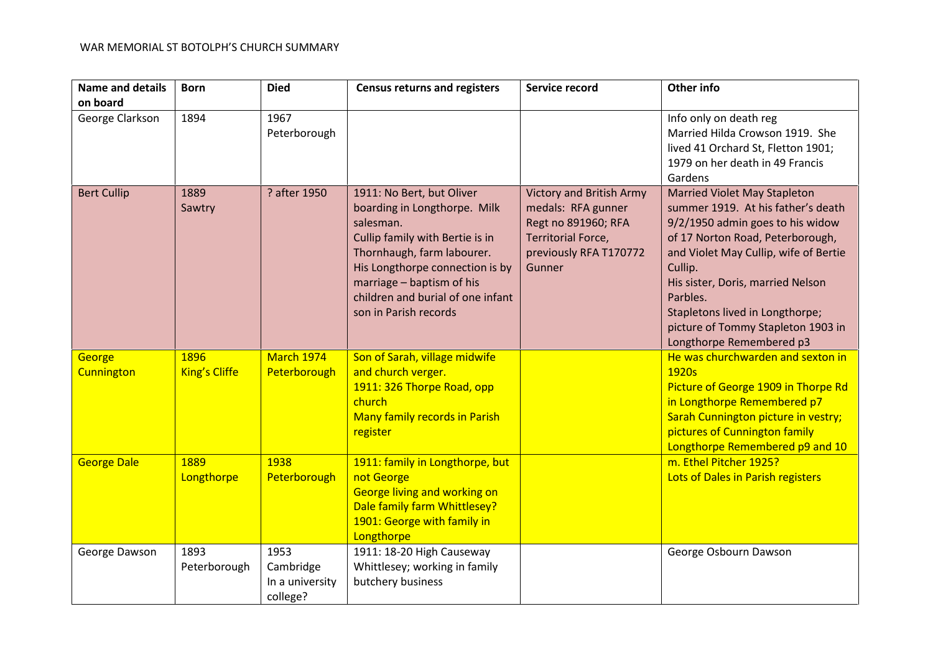| <b>Name and details</b><br>on board | <b>Born</b>                  | <b>Died</b>                                      | <b>Census returns and registers</b>                                                                                                                                                                                                                                   | Service record                                                                                                                                | Other info                                                                                                                                                                                                                                                                                                                                                  |
|-------------------------------------|------------------------------|--------------------------------------------------|-----------------------------------------------------------------------------------------------------------------------------------------------------------------------------------------------------------------------------------------------------------------------|-----------------------------------------------------------------------------------------------------------------------------------------------|-------------------------------------------------------------------------------------------------------------------------------------------------------------------------------------------------------------------------------------------------------------------------------------------------------------------------------------------------------------|
| George Clarkson                     | 1894                         | 1967<br>Peterborough                             |                                                                                                                                                                                                                                                                       |                                                                                                                                               | Info only on death reg<br>Married Hilda Crowson 1919. She<br>lived 41 Orchard St, Fletton 1901;<br>1979 on her death in 49 Francis<br>Gardens                                                                                                                                                                                                               |
| <b>Bert Cullip</b>                  | 1889<br>Sawtry               | ? after 1950                                     | 1911: No Bert, but Oliver<br>boarding in Longthorpe. Milk<br>salesman.<br>Cullip family with Bertie is in<br>Thornhaugh, farm labourer.<br>His Longthorpe connection is by<br>marriage - baptism of his<br>children and burial of one infant<br>son in Parish records | <b>Victory and British Army</b><br>medals: RFA gunner<br>Regt no 891960; RFA<br><b>Territorial Force,</b><br>previously RFA T170772<br>Gunner | <b>Married Violet May Stapleton</b><br>summer 1919. At his father's death<br>9/2/1950 admin goes to his widow<br>of 17 Norton Road, Peterborough,<br>and Violet May Cullip, wife of Bertie<br>Cullip.<br>His sister, Doris, married Nelson<br>Parbles.<br>Stapletons lived in Longthorpe;<br>picture of Tommy Stapleton 1903 in<br>Longthorpe Remembered p3 |
| George<br>Cunnington                | 1896<br><b>King's Cliffe</b> | March 1974<br>Peterborough                       | Son of Sarah, village midwife<br>and church verger.<br>1911: 326 Thorpe Road, opp<br>church<br>Many family records in Parish<br>register                                                                                                                              |                                                                                                                                               | He was churchwarden and sexton in<br>1920s<br>Picture of George 1909 in Thorpe Rd<br>in Longthorpe Remembered p7<br>Sarah Cunnington picture in vestry;<br>pictures of Cunnington family<br>Longthorpe Remembered p9 and 10                                                                                                                                 |
| <b>George Dale</b>                  | 1889<br>Longthorpe           | 1938<br>Peterborough                             | 1911: family in Longthorpe, but<br>not George<br><b>George living and working on</b><br>Dale family farm Whittlesey?<br>1901: George with family in<br>Longthorpe                                                                                                     |                                                                                                                                               | m. Ethel Pitcher 1925?<br>Lots of Dales in Parish registers                                                                                                                                                                                                                                                                                                 |
| George Dawson                       | 1893<br>Peterborough         | 1953<br>Cambridge<br>In a university<br>college? | 1911: 18-20 High Causeway<br>Whittlesey; working in family<br>butchery business                                                                                                                                                                                       |                                                                                                                                               | George Osbourn Dawson                                                                                                                                                                                                                                                                                                                                       |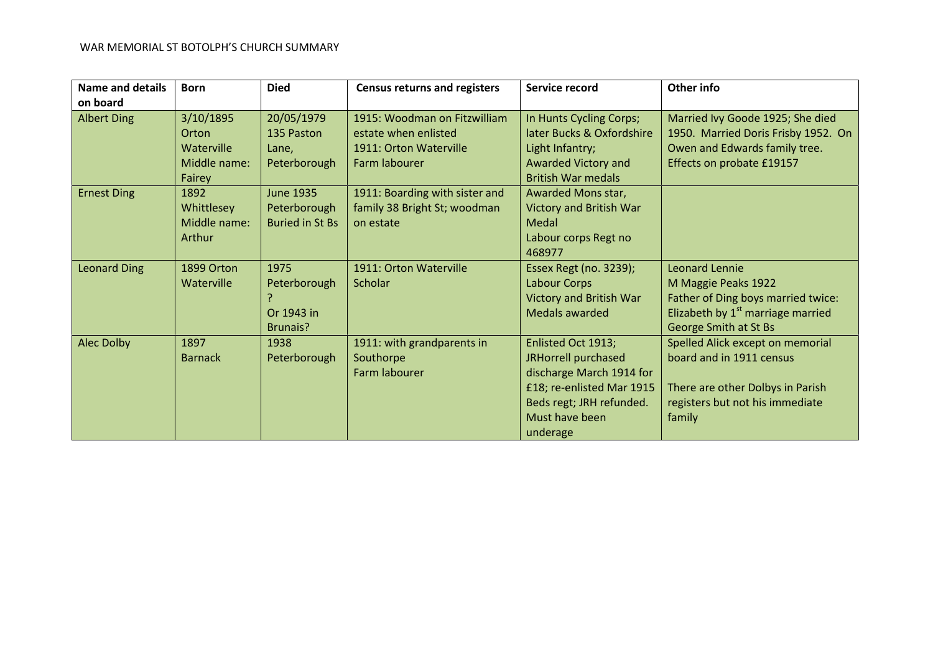| <b>Name and details</b> | <b>Born</b>       | <b>Died</b>            | <b>Census returns and registers</b> | Service record                 | Other info                                    |
|-------------------------|-------------------|------------------------|-------------------------------------|--------------------------------|-----------------------------------------------|
| on board                |                   |                        |                                     |                                |                                               |
| <b>Albert Ding</b>      | 3/10/1895         | 20/05/1979             | 1915: Woodman on Fitzwilliam        | In Hunts Cycling Corps;        | Married Ivy Goode 1925; She died              |
|                         | Orton             | 135 Paston             | estate when enlisted                | later Bucks & Oxfordshire      | 1950. Married Doris Frisby 1952. On           |
|                         | Waterville        | Lane,                  | 1911: Orton Waterville              | Light Infantry;                | Owen and Edwards family tree.                 |
|                         | Middle name:      | Peterborough           | Farm labourer                       | Awarded Victory and            | Effects on probate £19157                     |
|                         | Fairey            |                        |                                     | <b>British War medals</b>      |                                               |
| <b>Ernest Ding</b>      | 1892              | <b>June 1935</b>       | 1911: Boarding with sister and      | Awarded Mons star,             |                                               |
|                         | Whittlesey        | Peterborough           | family 38 Bright St; woodman        | Victory and British War        |                                               |
|                         | Middle name:      | <b>Buried in St Bs</b> | on estate                           | Medal                          |                                               |
|                         | Arthur            |                        |                                     | Labour corps Regt no           |                                               |
|                         |                   |                        |                                     | 468977                         |                                               |
| <b>Leonard Ding</b>     | 1899 Orton        | 1975                   | 1911: Orton Waterville              | Essex Regt (no. 3239);         | <b>Leonard Lennie</b>                         |
|                         | <b>Waterville</b> | Peterborough           | <b>Scholar</b>                      | Labour Corps                   | M Maggie Peaks 1922                           |
|                         |                   |                        |                                     | <b>Victory and British War</b> | Father of Ding boys married twice:            |
|                         |                   | Or 1943 in             |                                     | Medals awarded                 | Elizabeth by 1 <sup>st</sup> marriage married |
|                         |                   | Brunais?               |                                     |                                | George Smith at St Bs                         |
| Alec Dolby              | 1897              | 1938                   | 1911: with grandparents in          | Enlisted Oct 1913;             | Spelled Alick except on memorial              |
|                         | <b>Barnack</b>    | Peterborough           | Southorpe                           | JRHorrell purchased            | board and in 1911 census                      |
|                         |                   |                        | Farm labourer                       | discharge March 1914 for       |                                               |
|                         |                   |                        |                                     | £18; re-enlisted Mar 1915      | There are other Dolbys in Parish              |
|                         |                   |                        |                                     | Beds regt; JRH refunded.       | registers but not his immediate               |
|                         |                   |                        |                                     | Must have been                 | family                                        |
|                         |                   |                        |                                     | underage                       |                                               |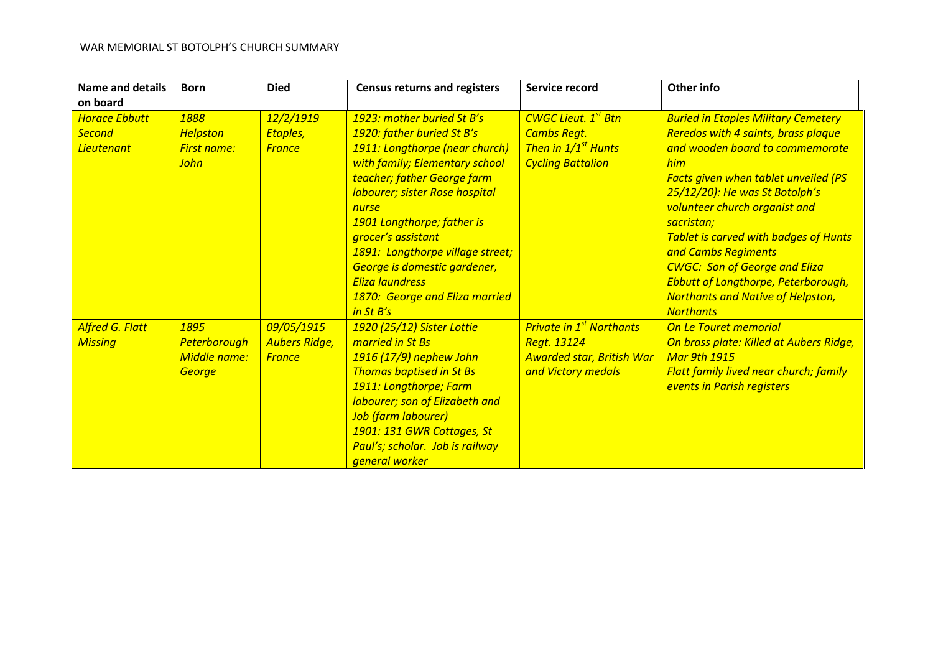| <b>Name and details</b>                                    | <b>Born</b>                                                  | <b>Died</b>                                         | <b>Census returns and registers</b>                                                                                                                                                                                                                                                                                                                                                                     | Service record                                                                                                  | Other info                                                                                                                                                                                                                                                                                                                                                                                                                                                                                      |
|------------------------------------------------------------|--------------------------------------------------------------|-----------------------------------------------------|---------------------------------------------------------------------------------------------------------------------------------------------------------------------------------------------------------------------------------------------------------------------------------------------------------------------------------------------------------------------------------------------------------|-----------------------------------------------------------------------------------------------------------------|-------------------------------------------------------------------------------------------------------------------------------------------------------------------------------------------------------------------------------------------------------------------------------------------------------------------------------------------------------------------------------------------------------------------------------------------------------------------------------------------------|
| on board                                                   |                                                              |                                                     |                                                                                                                                                                                                                                                                                                                                                                                                         |                                                                                                                 |                                                                                                                                                                                                                                                                                                                                                                                                                                                                                                 |
| <b>Horace Ebbutt</b><br><b>Second</b><br><b>Lieutenant</b> | 1888<br><b>Helpston</b><br><b>First name:</b><br><b>John</b> | 12/2/1919<br>Etaples,<br><b>France</b>              | 1923: mother buried St B's<br>1920: father buried St B's<br>1911: Longthorpe (near church)<br>with family; Elementary school<br>teacher; father George farm<br>labourer; sister Rose hospital<br>nurse<br>1901 Longthorpe; father is<br>grocer's assistant<br>1891: Longthorpe village street;<br>George is domestic gardener,<br><b>Eliza laundress</b><br>1870: George and Eliza married<br>in St B's | <b>CWGC Lieut. 1st Btn</b><br><b>Cambs Regt.</b><br>Then in 1/1 <sup>st</sup> Hunts<br><b>Cycling Battalion</b> | <b>Buried in Etaples Military Cemetery</b><br><b>Reredos with 4 saints, brass plaque</b><br>and wooden board to commemorate<br>him<br><b>Facts given when tablet unveiled (PS</b><br>25/12/20): He was St Botolph's<br>volunteer church organist and<br>sacristan;<br><b>Tablet is carved with badges of Hunts</b><br>and Cambs Regiments<br><b>CWGC: Son of George and Eliza</b><br><b>Ebbutt of Longthorpe, Peterborough,</b><br><b>Northants and Native of Helpston,</b><br><b>Northants</b> |
| <b>Alfred G. Flatt</b><br><b>Missing</b>                   | 1895<br>Peterborough<br>Middle name:<br>George               | 09/05/1915<br><b>Aubers Ridge,</b><br><b>France</b> | 1920 (25/12) Sister Lottie<br>married in St Bs<br>1916 (17/9) nephew John<br><b>Thomas baptised in St Bs</b><br>1911: Longthorpe; Farm<br>labourer; son of Elizabeth and<br>Job (farm labourer)<br>1901: 131 GWR Cottages, St<br>Paul's; scholar. Job is railway<br>general worker                                                                                                                      | <b>Private in 1st Northants</b><br>Regt. 13124<br><b>Awarded star, British War</b><br>and Victory medals        | On Le Touret memorial<br>On brass plate: Killed at Aubers Ridge,<br><b>Mar 9th 1915</b><br><b>Flatt family lived near church; family</b><br>events in Parish registers                                                                                                                                                                                                                                                                                                                          |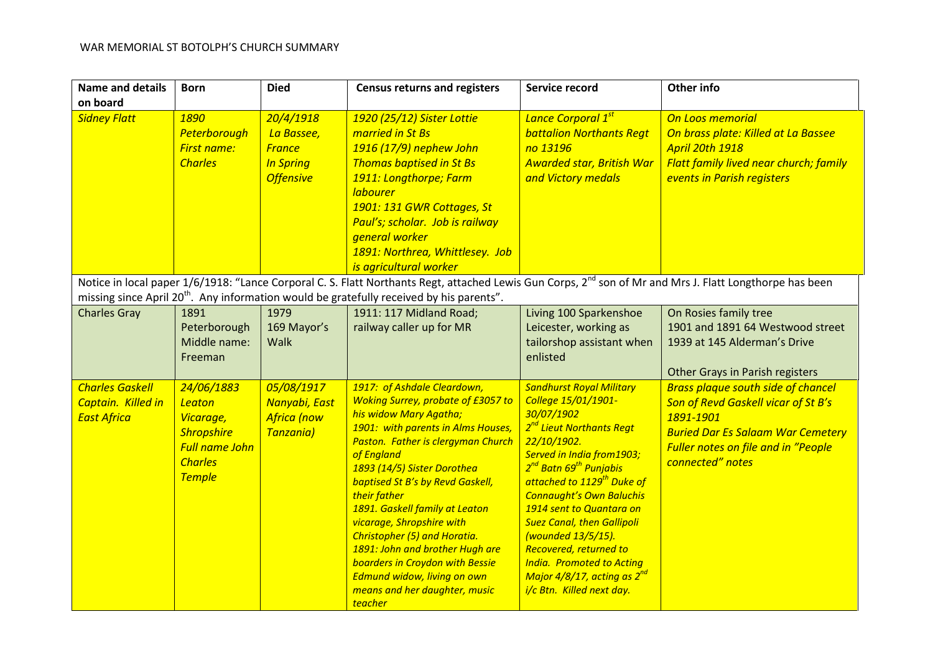| <b>Name and details</b><br>on board                                | <b>Born</b>                                                                                                        | <b>Died</b>                                                                      | <b>Census returns and registers</b>                                                                                                                                                                                                                                                                                                                                                                                                                                                                                                                  | Service record                                                                                                                                                                                                                                                                                                                                                                                                                                                                                                       | Other info                                                                                                                                                                                                         |
|--------------------------------------------------------------------|--------------------------------------------------------------------------------------------------------------------|----------------------------------------------------------------------------------|------------------------------------------------------------------------------------------------------------------------------------------------------------------------------------------------------------------------------------------------------------------------------------------------------------------------------------------------------------------------------------------------------------------------------------------------------------------------------------------------------------------------------------------------------|----------------------------------------------------------------------------------------------------------------------------------------------------------------------------------------------------------------------------------------------------------------------------------------------------------------------------------------------------------------------------------------------------------------------------------------------------------------------------------------------------------------------|--------------------------------------------------------------------------------------------------------------------------------------------------------------------------------------------------------------------|
| <b>Sidney Flatt</b>                                                | 1890<br>Peterborough<br><b>First name:</b><br><b>Charles</b>                                                       | 20/4/1918<br>La Bassee,<br><b>France</b><br><b>In Spring</b><br><b>Offensive</b> | 1920 (25/12) Sister Lottie<br>married in St Bs<br>1916 (17/9) nephew John<br><b>Thomas baptised in St Bs</b><br>1911: Longthorpe; Farm<br><b>labourer</b><br>1901: 131 GWR Cottages, St<br>Paul's; scholar. Job is railway<br>general worker<br>1891: Northrea, Whittlesey. Job<br>is agricultural worker                                                                                                                                                                                                                                            | Lance Corporal 1st<br><b>battalion Northants Regt</b><br>no 13196<br><b>Awarded star, British War</b><br>and Victory medals                                                                                                                                                                                                                                                                                                                                                                                          | On Loos memorial<br>On brass plate: Killed at La Bassee<br><b>April 20th 1918</b><br><b>Flatt family lived near church; family</b><br>events in Parish registers                                                   |
|                                                                    |                                                                                                                    |                                                                                  | missing since April 20 <sup>th</sup> . Any information would be gratefully received by his parents".                                                                                                                                                                                                                                                                                                                                                                                                                                                 |                                                                                                                                                                                                                                                                                                                                                                                                                                                                                                                      | Notice in local paper 1/6/1918: "Lance Corporal C. S. Flatt Northants Regt, attached Lewis Gun Corps, 2 <sup>nd</sup> son of Mr and Mrs J. Flatt Longthorpe has been                                               |
| <b>Charles Gray</b>                                                | 1891<br>Peterborough<br>Middle name:<br>Freeman                                                                    | 1979<br>169 Mayor's<br><b>Walk</b>                                               | 1911: 117 Midland Road;<br>railway caller up for MR                                                                                                                                                                                                                                                                                                                                                                                                                                                                                                  | Living 100 Sparkenshoe<br>Leicester, working as<br>tailorshop assistant when<br>enlisted                                                                                                                                                                                                                                                                                                                                                                                                                             | On Rosies family tree<br>1901 and 1891 64 Westwood street<br>1939 at 145 Alderman's Drive<br>Other Grays in Parish registers                                                                                       |
| <b>Charles Gaskell</b><br>Captain. Killed in<br><b>East Africa</b> | 24/06/1883<br>Leaton<br>Vicarage,<br><b>Shropshire</b><br><b>Full name John</b><br><b>Charles</b><br><b>Temple</b> | 05/08/1917<br>Nanyabi, East<br><b>Africa</b> (now<br>Tanzania)                   | 1917: of Ashdale Cleardown,<br><b>Woking Surrey, probate of £3057 to</b><br>his widow Mary Agatha;<br>1901: with parents in Alms Houses,<br>Paston. Father is clergyman Church<br>of England<br>1893 (14/5) Sister Dorothea<br><b>baptised St B's by Revd Gaskell,</b><br>their father<br>1891. Gaskell family at Leaton<br>vicarage, Shropshire with<br>Christopher (5) and Horatia.<br>1891: John and brother Hugh are<br><b>boarders in Croydon with Bessie</b><br>Edmund widow, living on own<br>means and her daughter, music<br><b>teacher</b> | <b>Sandhurst Royal Military</b><br>College 15/01/1901-<br>30/07/1902<br>2 <sup>nd</sup> Lieut Northants Regt<br>22/10/1902.<br>Served in India from1903;<br>2 <sup>nd</sup> Batn 69 <sup>th</sup> Punjabis<br>attached to 1129 <sup>th</sup> Duke of<br><b>Connaught's Own Baluchis</b><br>1914 sent to Quantara on<br><b>Suez Canal, then Gallipoli</b><br>(wounded 13/5/15).<br>Recovered, returned to<br><b>India.</b> Promoted to Acting<br>Major 4/8/17, acting as 2 <sup>nd</sup><br>i/c Btn. Killed next day. | <b>Brass plaque south side of chancel</b><br><b>Son of Revd Gaskell vicar of St B's</b><br>1891-1901<br><b>Buried Dar Es Salaam War Cemetery</b><br><b>Fuller notes on file and in "People</b><br>connected" notes |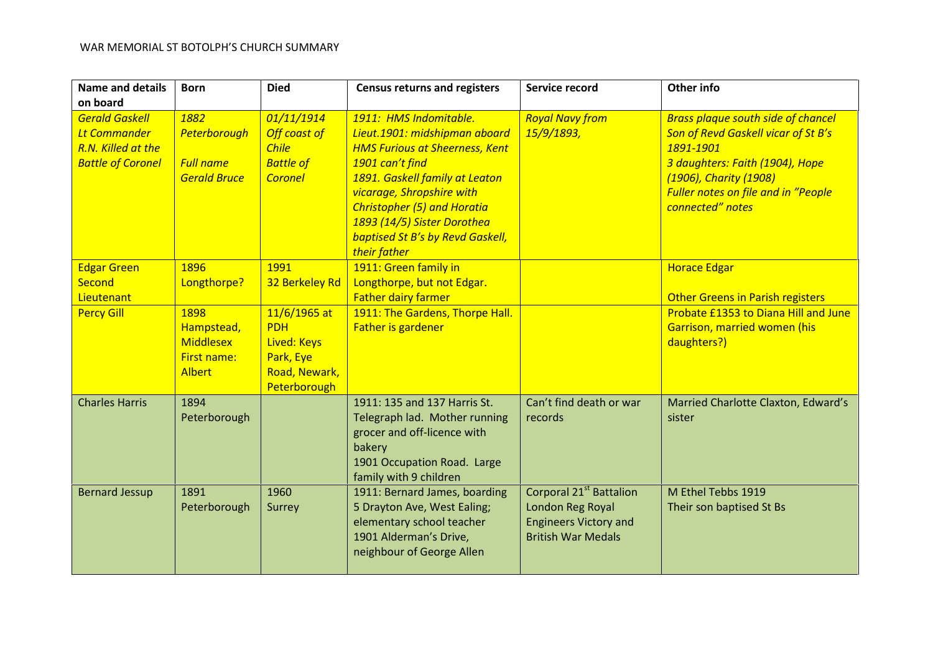| <b>Name and details</b>                                                                        | <b>Born</b>                                                                                          | <b>Died</b>                                                                                                       | <b>Census returns and registers</b>                                                                                                                                                                                                                                                                                | Service record                                                                                                       | Other info                                                                                                                                                                                                                          |
|------------------------------------------------------------------------------------------------|------------------------------------------------------------------------------------------------------|-------------------------------------------------------------------------------------------------------------------|--------------------------------------------------------------------------------------------------------------------------------------------------------------------------------------------------------------------------------------------------------------------------------------------------------------------|----------------------------------------------------------------------------------------------------------------------|-------------------------------------------------------------------------------------------------------------------------------------------------------------------------------------------------------------------------------------|
| on board                                                                                       |                                                                                                      |                                                                                                                   |                                                                                                                                                                                                                                                                                                                    |                                                                                                                      |                                                                                                                                                                                                                                     |
| <b>Gerald Gaskell</b><br><b>Lt Commander</b><br>R.N. Killed at the<br><b>Battle of Coronel</b> | 1882<br>Peterborough<br><b>Full name</b><br><b>Gerald Bruce</b>                                      | 01/11/1914<br>Off coast of<br><b>Chile</b><br><b>Battle of</b><br><b>Coronel</b>                                  | 1911: HMS Indomitable.<br>Lieut.1901: midshipman aboard<br><b>HMS Furious at Sheerness, Kent</b><br>1901 can't find<br>1891. Gaskell family at Leaton<br>vicarage, Shropshire with<br><b>Christopher (5) and Horatia</b><br>1893 (14/5) Sister Dorothea<br><b>baptised St B's by Revd Gaskell,</b><br>their father | <b>Royal Navy from</b><br>15/9/1893,                                                                                 | <b>Brass plaque south side of chancel</b><br><b>Son of Revd Gaskell vicar of St B's</b><br>1891-1901<br>3 daughters: Faith (1904), Hope<br>(1906), Charity (1908)<br><b>Fuller notes on file and in "People</b><br>connected" notes |
| <b>Edgar Green</b><br><b>Second</b><br>Lieutenant<br><b>Percy Gill</b>                         | 1896<br>Longthorpe?<br>1898<br>Hampstead,<br><b>Middlesex</b><br><b>First name:</b><br><b>Albert</b> | 1991<br>32 Berkeley Rd<br>11/6/1965 at<br><b>PDH</b><br>Lived: Keys<br>Park, Eye<br>Road, Newark,<br>Peterborough | 1911: Green family in<br>Longthorpe, but not Edgar.<br><b>Father dairy farmer</b><br>1911: The Gardens, Thorpe Hall.<br>Father is gardener                                                                                                                                                                         |                                                                                                                      | <b>Horace Edgar</b><br><b>Other Greens in Parish registers</b><br>Probate £1353 to Diana Hill and June<br>Garrison, married women (his<br>daughters?)                                                                               |
| <b>Charles Harris</b>                                                                          | 1894<br>Peterborough                                                                                 |                                                                                                                   | 1911: 135 and 137 Harris St.<br>Telegraph lad. Mother running<br>grocer and off-licence with<br>bakery<br>1901 Occupation Road. Large<br>family with 9 children                                                                                                                                                    | Can't find death or war<br>records                                                                                   | Married Charlotte Claxton, Edward's<br>sister                                                                                                                                                                                       |
| <b>Bernard Jessup</b>                                                                          | 1891<br>Peterborough                                                                                 | 1960<br>Surrey                                                                                                    | 1911: Bernard James, boarding<br>5 Drayton Ave, West Ealing;<br>elementary school teacher<br>1901 Alderman's Drive,<br>neighbour of George Allen                                                                                                                                                                   | Corporal 21 <sup>st</sup> Battalion<br>London Reg Royal<br><b>Engineers Victory and</b><br><b>British War Medals</b> | M Ethel Tebbs 1919<br>Their son baptised St Bs                                                                                                                                                                                      |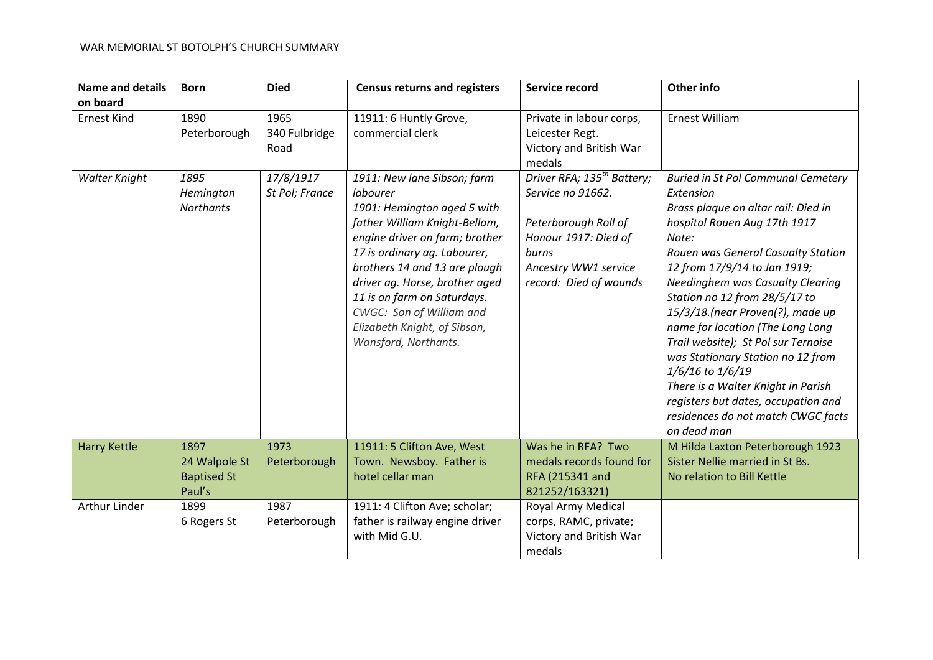| <b>Name and details</b> | <b>Born</b>                                           | <b>Died</b>                   | <b>Census returns and registers</b>                                                                                                                                                                                                                                                                                                                             | Service record                                                                                                                                                         | Other info                                                                                                                                                                                                                                                                                                                                                                                                                                                                                                                                                                                         |
|-------------------------|-------------------------------------------------------|-------------------------------|-----------------------------------------------------------------------------------------------------------------------------------------------------------------------------------------------------------------------------------------------------------------------------------------------------------------------------------------------------------------|------------------------------------------------------------------------------------------------------------------------------------------------------------------------|----------------------------------------------------------------------------------------------------------------------------------------------------------------------------------------------------------------------------------------------------------------------------------------------------------------------------------------------------------------------------------------------------------------------------------------------------------------------------------------------------------------------------------------------------------------------------------------------------|
| on board                |                                                       |                               |                                                                                                                                                                                                                                                                                                                                                                 |                                                                                                                                                                        |                                                                                                                                                                                                                                                                                                                                                                                                                                                                                                                                                                                                    |
| <b>Ernest Kind</b>      | 1890<br>Peterborough                                  | 1965<br>340 Fulbridge<br>Road | 11911: 6 Huntly Grove,<br>commercial clerk                                                                                                                                                                                                                                                                                                                      | Private in labour corps,<br>Leicester Regt.<br>Victory and British War<br>medals                                                                                       | Ernest William                                                                                                                                                                                                                                                                                                                                                                                                                                                                                                                                                                                     |
| <b>Walter Knight</b>    | 1895<br>Hemington<br><b>Northants</b>                 | 17/8/1917<br>St Pol; France   | 1911: New lane Sibson; farm<br>labourer<br>1901: Hemington aged 5 with<br>father William Knight-Bellam,<br>engine driver on farm; brother<br>17 is ordinary ag. Labourer,<br>brothers 14 and 13 are plough<br>driver ag. Horse, brother aged<br>11 is on farm on Saturdays.<br>CWGC: Son of William and<br>Elizabeth Knight, of Sibson,<br>Wansford, Northants. | Driver RFA; 135 <sup>th</sup> Battery;<br>Service no 91662.<br>Peterborough Roll of<br>Honour 1917: Died of<br>burns<br>Ancestry WW1 service<br>record: Died of wounds | <b>Buried in St Pol Communal Cemetery</b><br>Extension<br>Brass plaque on altar rail: Died in<br>hospital Rouen Aug 17th 1917<br>Note:<br>Rouen was General Casualty Station<br>12 from 17/9/14 to Jan 1919;<br><b>Needinghem was Casualty Clearing</b><br>Station no 12 from 28/5/17 to<br>15/3/18.(near Proven(?), made up<br>name for location (The Long Long<br>Trail website); St Pol sur Ternoise<br>was Stationary Station no 12 from<br>1/6/16 to 1/6/19<br>There is a Walter Knight in Parish<br>registers but dates, occupation and<br>residences do not match CWGC facts<br>on dead man |
| <b>Harry Kettle</b>     | 1897<br>24 Walpole St<br><b>Baptised St</b><br>Paul's | 1973<br>Peterborough          | 11911: 5 Clifton Ave, West<br>Town. Newsboy. Father is<br>hotel cellar man                                                                                                                                                                                                                                                                                      | Was he in RFA? Two<br>medals records found for<br>RFA (215341 and<br>821252/163321)                                                                                    | M Hilda Laxton Peterborough 1923<br>Sister Nellie married in St Bs.<br>No relation to Bill Kettle                                                                                                                                                                                                                                                                                                                                                                                                                                                                                                  |
| Arthur Linder           | 1899<br>6 Rogers St                                   | 1987<br>Peterborough          | 1911: 4 Clifton Ave; scholar;<br>father is railway engine driver<br>with Mid G.U.                                                                                                                                                                                                                                                                               | Royal Army Medical<br>corps, RAMC, private;<br>Victory and British War<br>medals                                                                                       |                                                                                                                                                                                                                                                                                                                                                                                                                                                                                                                                                                                                    |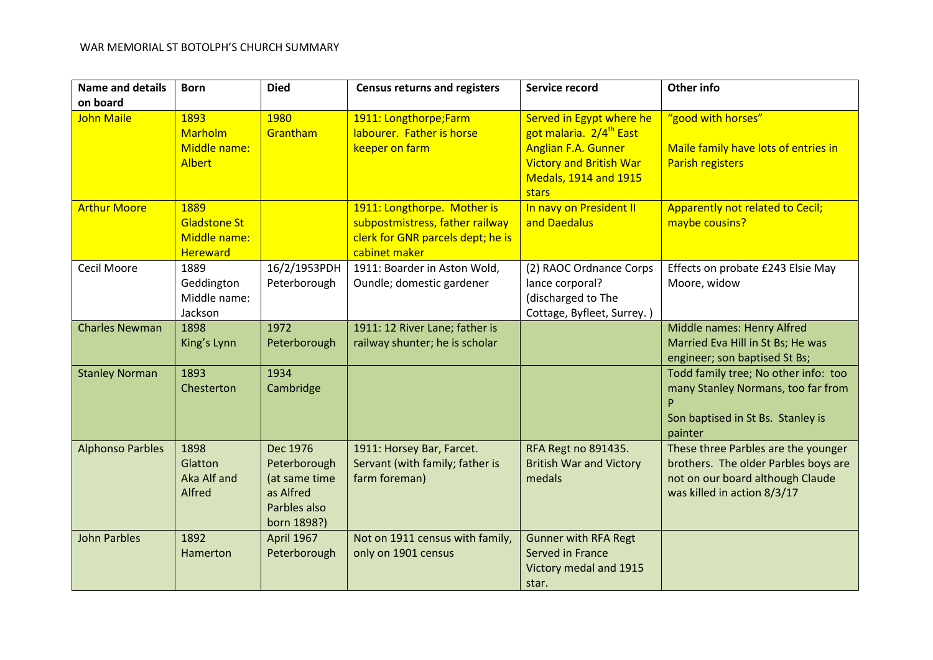| <b>Name and details</b> | <b>Born</b>                                                    | <b>Died</b>                                                                           | <b>Census returns and registers</b>                                                                                  | Service record                                                                                                                                                           | Other info                                                                                                                                     |
|-------------------------|----------------------------------------------------------------|---------------------------------------------------------------------------------------|----------------------------------------------------------------------------------------------------------------------|--------------------------------------------------------------------------------------------------------------------------------------------------------------------------|------------------------------------------------------------------------------------------------------------------------------------------------|
| on board                |                                                                |                                                                                       |                                                                                                                      |                                                                                                                                                                          |                                                                                                                                                |
| <b>John Maile</b>       | 1893<br>Marholm<br>Middle name:<br><b>Albert</b>               | 1980<br>Grantham                                                                      | 1911: Longthorpe;Farm<br>labourer. Father is horse<br>keeper on farm                                                 | Served in Egypt where he<br>got malaria. 2/4 <sup>th</sup> East<br><b>Anglian F.A. Gunner</b><br><b>Victory and British War</b><br><b>Medals, 1914 and 1915</b><br>stars | "good with horses"<br>Maile family have lots of entries in<br><b>Parish registers</b>                                                          |
| <b>Arthur Moore</b>     | 1889<br><b>Gladstone St</b><br>Middle name:<br><b>Hereward</b> |                                                                                       | 1911: Longthorpe. Mother is<br>subpostmistress, father railway<br>clerk for GNR parcels dept; he is<br>cabinet maker | In navy on President II<br>and Daedalus                                                                                                                                  | Apparently not related to Cecil;<br>maybe cousins?                                                                                             |
| Cecil Moore             | 1889<br>Geddington<br>Middle name:<br>Jackson                  | 16/2/1953PDH<br>Peterborough                                                          | 1911: Boarder in Aston Wold,<br>Oundle; domestic gardener                                                            | (2) RAOC Ordnance Corps<br>lance corporal?<br>(discharged to The<br>Cottage, Byfleet, Surrey.)                                                                           | Effects on probate £243 Elsie May<br>Moore, widow                                                                                              |
| <b>Charles Newman</b>   | 1898<br>King's Lynn                                            | 1972<br>Peterborough                                                                  | 1911: 12 River Lane; father is<br>railway shunter; he is scholar                                                     |                                                                                                                                                                          | Middle names: Henry Alfred<br>Married Eva Hill in St Bs; He was<br>engineer; son baptised St Bs;                                               |
| <b>Stanley Norman</b>   | 1893<br>Chesterton                                             | 1934<br>Cambridge                                                                     |                                                                                                                      |                                                                                                                                                                          | Todd family tree; No other info: too<br>many Stanley Normans, too far from<br>Son baptised in St Bs. Stanley is<br>painter                     |
| <b>Alphonso Parbles</b> | 1898<br>Glatton<br>Aka Alf and<br>Alfred                       | Dec 1976<br>Peterborough<br>(at same time<br>as Alfred<br>Parbles also<br>born 1898?) | 1911: Horsey Bar, Farcet.<br>Servant (with family; father is<br>farm foreman)                                        | RFA Regt no 891435.<br><b>British War and Victory</b><br>medals                                                                                                          | These three Parbles are the younger<br>brothers. The older Parbles boys are<br>not on our board although Claude<br>was killed in action 8/3/17 |
| <b>John Parbles</b>     | 1892<br>Hamerton                                               | April 1967<br>Peterborough                                                            | Not on 1911 census with family,<br>only on 1901 census                                                               | <b>Gunner with RFA Regt</b><br>Served in France<br>Victory medal and 1915<br>star.                                                                                       |                                                                                                                                                |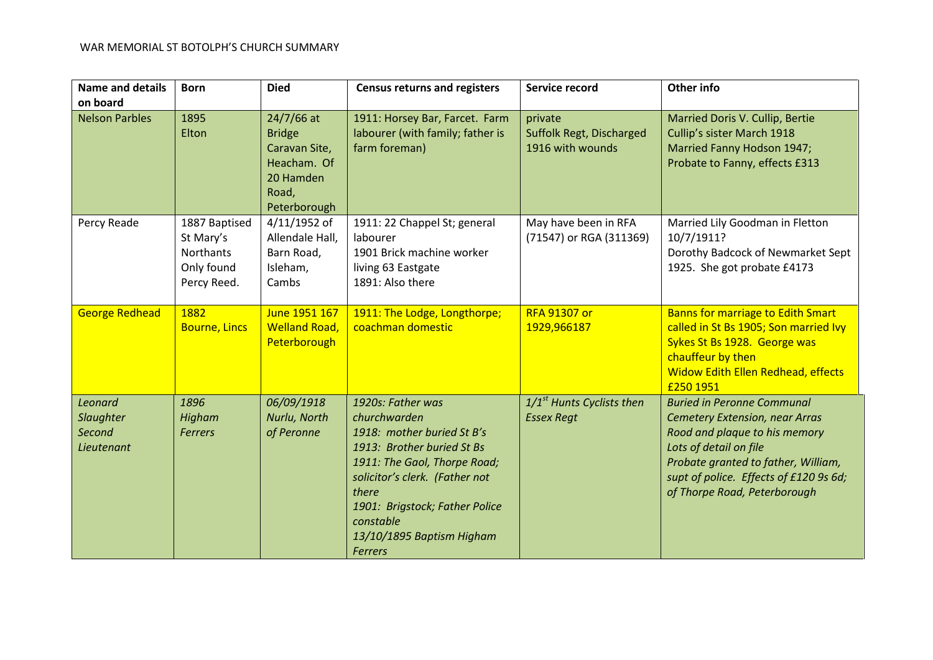| <b>Name and details</b>                                    | <b>Born</b>                                                          | <b>Died</b>                                                                                       | <b>Census returns and registers</b>                                                                                                                                                                                                                                    | Service record                                          | Other info                                                                                                                                                                                                                                             |
|------------------------------------------------------------|----------------------------------------------------------------------|---------------------------------------------------------------------------------------------------|------------------------------------------------------------------------------------------------------------------------------------------------------------------------------------------------------------------------------------------------------------------------|---------------------------------------------------------|--------------------------------------------------------------------------------------------------------------------------------------------------------------------------------------------------------------------------------------------------------|
| on board                                                   |                                                                      |                                                                                                   |                                                                                                                                                                                                                                                                        |                                                         |                                                                                                                                                                                                                                                        |
| <b>Nelson Parbles</b>                                      | 1895<br>Elton                                                        | 24/7/66 at<br><b>Bridge</b><br>Caravan Site,<br>Heacham. Of<br>20 Hamden<br>Road,<br>Peterborough | 1911: Horsey Bar, Farcet. Farm<br>labourer (with family; father is<br>farm foreman)                                                                                                                                                                                    | private<br>Suffolk Regt, Discharged<br>1916 with wounds | Married Doris V. Cullip, Bertie<br>Cullip's sister March 1918<br>Married Fanny Hodson 1947;<br>Probate to Fanny, effects £313                                                                                                                          |
| Percy Reade                                                | 1887 Baptised<br>St Mary's<br>Northants<br>Only found<br>Percy Reed. | 4/11/1952 of<br>Allendale Hall,<br>Barn Road,<br>Isleham,<br>Cambs                                | 1911: 22 Chappel St; general<br>labourer<br>1901 Brick machine worker<br>living 63 Eastgate<br>1891: Also there                                                                                                                                                        | May have been in RFA<br>(71547) or RGA (311369)         | Married Lily Goodman in Fletton<br>10/7/1911?<br>Dorothy Badcock of Newmarket Sept<br>1925. She got probate £4173                                                                                                                                      |
| <b>George Redhead</b>                                      | 1882<br><b>Bourne, Lincs</b>                                         | June 1951 167<br><b>Welland Road,</b><br>Peterborough                                             | 1911: The Lodge, Longthorpe;<br>coachman domestic                                                                                                                                                                                                                      | <b>RFA 91307 or</b><br>1929,966187                      | <b>Banns for marriage to Edith Smart</b><br>called in St Bs 1905; Son married Ivy<br>Sykes St Bs 1928. George was<br>chauffeur by then<br><b>Widow Edith Ellen Redhead, effects</b><br>£250 1951                                                       |
| Leonard<br><b>Slaughter</b><br><b>Second</b><br>Lieutenant | 1896<br>Higham<br><b>Ferrers</b>                                     | 06/09/1918<br>Nurlu, North<br>of Peronne                                                          | 1920s: Father was<br>churchwarden<br>1918: mother buried St B's<br>1913: Brother buried St Bs<br>1911: The Gaol, Thorpe Road;<br>solicitor's clerk. (Father not<br>there<br>1901: Brigstock; Father Police<br>constable<br>13/10/1895 Baptism Higham<br><b>Ferrers</b> | $1/1st$ Hunts Cyclists then<br><b>Essex Regt</b>        | <b>Buried in Peronne Communal</b><br><b>Cemetery Extension, near Arras</b><br>Rood and plaque to his memory<br>Lots of detail on file<br>Probate granted to father, William,<br>supt of police. Effects of £120 9s 6d;<br>of Thorpe Road, Peterborough |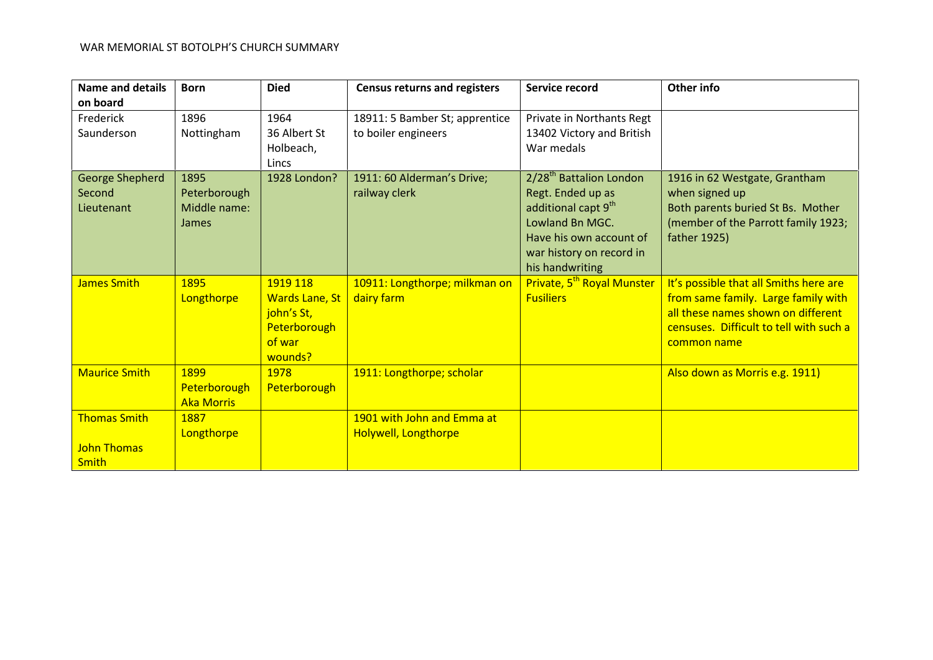| <b>Name and details</b>                        | <b>Born</b>                                          | <b>Died</b>                                                                          | <b>Census returns and registers</b>                   | Service record                                                                                                                                                                           | Other info                                                                                                                                                                    |
|------------------------------------------------|------------------------------------------------------|--------------------------------------------------------------------------------------|-------------------------------------------------------|------------------------------------------------------------------------------------------------------------------------------------------------------------------------------------------|-------------------------------------------------------------------------------------------------------------------------------------------------------------------------------|
| on board                                       |                                                      |                                                                                      |                                                       |                                                                                                                                                                                          |                                                                                                                                                                               |
| Frederick<br>Saunderson                        | 1896<br>Nottingham                                   | 1964<br>36 Albert St<br>Holbeach,<br><b>Lincs</b>                                    | 18911: 5 Bamber St; apprentice<br>to boiler engineers | Private in Northants Regt<br>13402 Victory and British<br>War medals                                                                                                                     |                                                                                                                                                                               |
| <b>George Shepherd</b><br>Second<br>Lieutenant | 1895<br>Peterborough<br>Middle name:<br><b>James</b> | 1928 London?                                                                         | 1911: 60 Alderman's Drive;<br>railway clerk           | 2/28 <sup>th</sup> Battalion London<br>Regt. Ended up as<br>additional capt 9 <sup>th</sup><br>Lowland Bn MGC.<br>Have his own account of<br>war history on record in<br>his handwriting | 1916 in 62 Westgate, Grantham<br>when signed up<br>Both parents buried St Bs. Mother<br>(member of the Parrott family 1923;<br>father 1925)                                   |
| <b>James Smith</b>                             | 1895<br>Longthorpe                                   | 1919 118<br><b>Wards Lane, St</b><br>john's St,<br>Peterborough<br>of war<br>wounds? | 10911: Longthorpe; milkman on<br>dairy farm           | Private, 5 <sup>th</sup> Royal Munster<br><b>Fusiliers</b>                                                                                                                               | It's possible that all Smiths here are<br>from same family. Large family with<br>all these names shown on different<br>censuses. Difficult to tell with such a<br>common name |
| <b>Maurice Smith</b>                           | 1899<br>Peterborough<br><b>Aka Morris</b>            | 1978<br>Peterborough                                                                 | 1911: Longthorpe; scholar                             |                                                                                                                                                                                          | Also down as Morris e.g. 1911)                                                                                                                                                |
| <b>Thomas Smith</b>                            | 1887<br>Longthorpe                                   |                                                                                      | 1901 with John and Emma at<br>Holywell, Longthorpe    |                                                                                                                                                                                          |                                                                                                                                                                               |
| <b>John Thomas</b><br><b>Smith</b>             |                                                      |                                                                                      |                                                       |                                                                                                                                                                                          |                                                                                                                                                                               |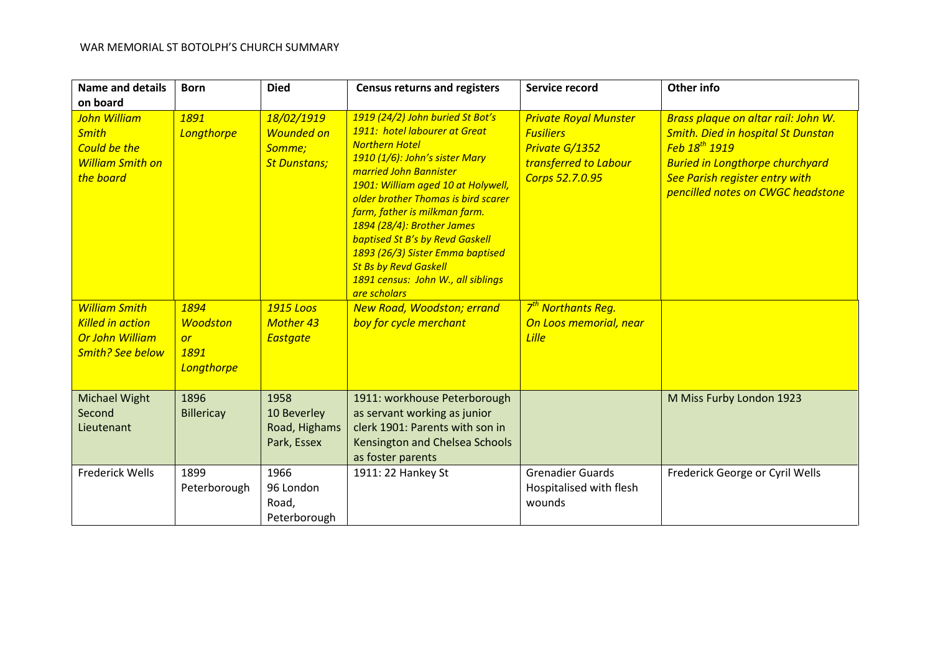| <b>Name and details</b><br>on board                                                                  | <b>Born</b>                                                | <b>Died</b>                                                      | <b>Census returns and registers</b>                                                                                                                                                                                                                                                                                                                                                                                                                                    | Service record                                                                                                 | Other info                                                                                                                                                                                                                            |
|------------------------------------------------------------------------------------------------------|------------------------------------------------------------|------------------------------------------------------------------|------------------------------------------------------------------------------------------------------------------------------------------------------------------------------------------------------------------------------------------------------------------------------------------------------------------------------------------------------------------------------------------------------------------------------------------------------------------------|----------------------------------------------------------------------------------------------------------------|---------------------------------------------------------------------------------------------------------------------------------------------------------------------------------------------------------------------------------------|
| John William<br><b>Smith</b><br><b>Could be the</b><br><b>William Smith on</b><br>the board          | 1891<br>Longthorpe                                         | 18/02/1919<br><b>Wounded on</b><br>Somme;<br><b>St Dunstans;</b> | 1919 (24/2) John buried St Bot's<br>1911: hotel labourer at Great<br><b>Northern Hotel</b><br>1910 (1/6): John's sister Mary<br>married John Bannister<br>1901: William aged 10 at Holywell,<br>older brother Thomas is bird scarer<br>farm, father is milkman farm.<br>1894 (28/4): Brother James<br><b>baptised St B's by Revd Gaskell</b><br>1893 (26/3) Sister Emma baptised<br><b>St Bs by Revd Gaskell</b><br>1891 census: John W., all siblings<br>are scholars | <b>Private Royal Munster</b><br><b>Fusiliers</b><br>Private G/1352<br>transferred to Labour<br>Corps 52.7.0.95 | Brass plaque on altar rail: John W.<br><b>Smith. Died in hospital St Dunstan</b><br>Feb 18 <sup>th</sup> 1919<br><b>Buried in Longthorpe churchyard</b><br><b>See Parish register entry with</b><br>pencilled notes on CWGC headstone |
| <b>William Smith</b><br><b>Killed in action</b><br><b>Or John William</b><br><b>Smith? See below</b> | 1894<br><b>Woodston</b><br><b>or</b><br>1891<br>Longthorpe | 1915 Loos<br><b>Mother 43</b><br><b>Eastgate</b>                 | <b>New Road, Woodston; errand</b><br>boy for cycle merchant                                                                                                                                                                                                                                                                                                                                                                                                            | 7 <sup>th</sup> Northants Reg.<br>On Loos memorial, near<br><b>Lille</b>                                       |                                                                                                                                                                                                                                       |
| <b>Michael Wight</b><br>Second<br>Lieutenant                                                         | 1896<br><b>Billericay</b>                                  | 1958<br>10 Beverley<br>Road, Highams<br>Park, Essex              | 1911: workhouse Peterborough<br>as servant working as junior<br>clerk 1901: Parents with son in<br>Kensington and Chelsea Schools<br>as foster parents                                                                                                                                                                                                                                                                                                                 |                                                                                                                | M Miss Furby London 1923                                                                                                                                                                                                              |
| <b>Frederick Wells</b>                                                                               | 1899<br>Peterborough                                       | 1966<br>96 London<br>Road,<br>Peterborough                       | 1911: 22 Hankey St                                                                                                                                                                                                                                                                                                                                                                                                                                                     | <b>Grenadier Guards</b><br>Hospitalised with flesh<br>wounds                                                   | Frederick George or Cyril Wells                                                                                                                                                                                                       |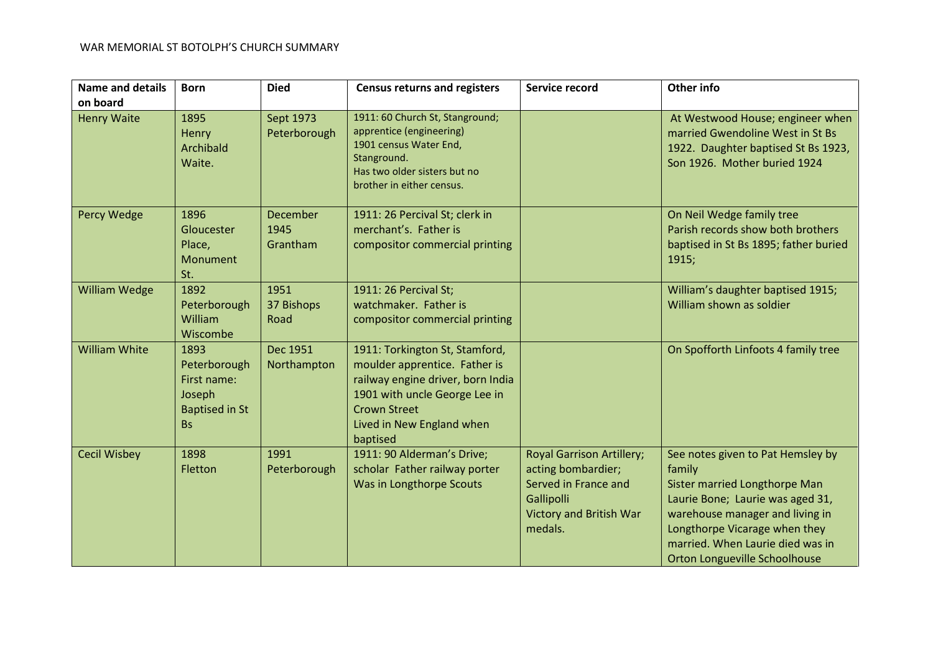| <b>Name and details</b><br>on board | <b>Born</b>                                                                         | <b>Died</b>                         | <b>Census returns and registers</b>                                                                                                                                                                   | Service record                                                                                                                            | Other info                                                                                                                                                                                                                                                |
|-------------------------------------|-------------------------------------------------------------------------------------|-------------------------------------|-------------------------------------------------------------------------------------------------------------------------------------------------------------------------------------------------------|-------------------------------------------------------------------------------------------------------------------------------------------|-----------------------------------------------------------------------------------------------------------------------------------------------------------------------------------------------------------------------------------------------------------|
| <b>Henry Waite</b>                  | 1895<br>Henry<br>Archibald<br>Waite.                                                | Sept 1973<br>Peterborough           | 1911: 60 Church St, Stanground;<br>apprentice (engineering)<br>1901 census Water End,<br>Stanground.<br>Has two older sisters but no<br>brother in either census.                                     |                                                                                                                                           | At Westwood House; engineer when<br>married Gwendoline West in St Bs<br>1922. Daughter baptised St Bs 1923,<br>Son 1926. Mother buried 1924                                                                                                               |
| Percy Wedge                         | 1896<br>Gloucester<br>Place,<br>Monument<br>St.                                     | <b>December</b><br>1945<br>Grantham | 1911: 26 Percival St; clerk in<br>merchant's. Father is<br>compositor commercial printing                                                                                                             |                                                                                                                                           | On Neil Wedge family tree<br>Parish records show both brothers<br>baptised in St Bs 1895; father buried<br>1915;                                                                                                                                          |
| <b>William Wedge</b>                | 1892<br>Peterborough<br>William<br>Wiscombe                                         | 1951<br>37 Bishops<br>Road          | 1911: 26 Percival St;<br>watchmaker. Father is<br>compositor commercial printing                                                                                                                      |                                                                                                                                           | William's daughter baptised 1915;<br>William shown as soldier                                                                                                                                                                                             |
| <b>William White</b>                | 1893<br>Peterborough<br>First name:<br>Joseph<br><b>Baptised in St</b><br><b>Bs</b> | Dec 1951<br>Northampton             | 1911: Torkington St, Stamford,<br>moulder apprentice. Father is<br>railway engine driver, born India<br>1901 with uncle George Lee in<br><b>Crown Street</b><br>Lived in New England when<br>baptised |                                                                                                                                           | On Spofforth Linfoots 4 family tree                                                                                                                                                                                                                       |
| <b>Cecil Wisbey</b>                 | 1898<br>Fletton                                                                     | 1991<br>Peterborough                | 1911: 90 Alderman's Drive;<br>scholar Father railway porter<br>Was in Longthorpe Scouts                                                                                                               | <b>Royal Garrison Artillery;</b><br>acting bombardier;<br>Served in France and<br>Gallipolli<br><b>Victory and British War</b><br>medals. | See notes given to Pat Hemsley by<br>family<br>Sister married Longthorpe Man<br>Laurie Bone; Laurie was aged 31,<br>warehouse manager and living in<br>Longthorpe Vicarage when they<br>married. When Laurie died was in<br>Orton Longueville Schoolhouse |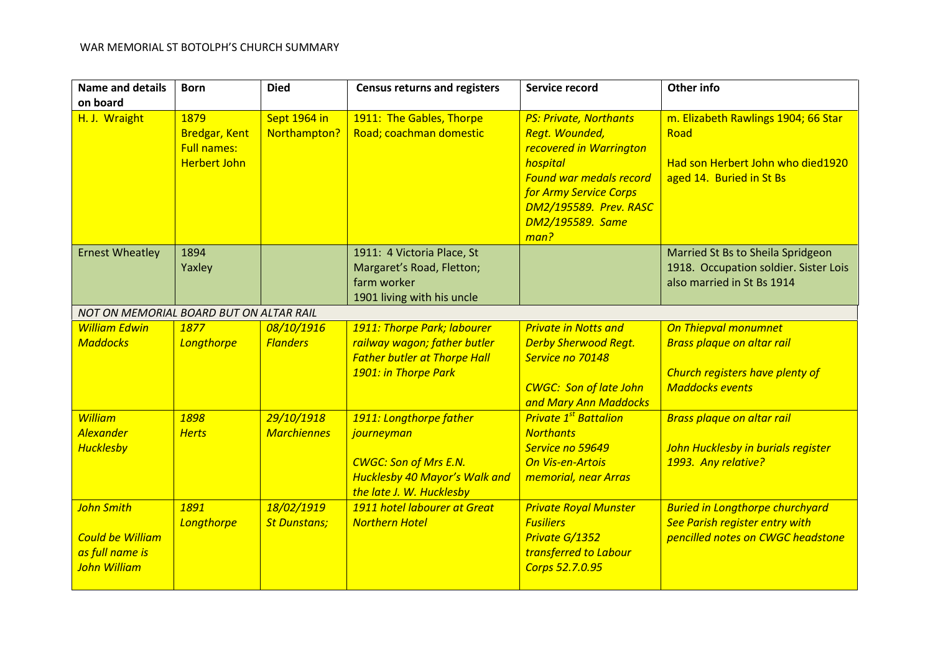| <b>Name and details</b>                                                                | <b>Born</b>                                                               | <b>Died</b>                       | <b>Census returns and registers</b>                                                                                                       | Service record                                                                                                                                                                                           | <b>Other info</b>                                                                                                             |
|----------------------------------------------------------------------------------------|---------------------------------------------------------------------------|-----------------------------------|-------------------------------------------------------------------------------------------------------------------------------------------|----------------------------------------------------------------------------------------------------------------------------------------------------------------------------------------------------------|-------------------------------------------------------------------------------------------------------------------------------|
| on board                                                                               |                                                                           |                                   |                                                                                                                                           |                                                                                                                                                                                                          |                                                                                                                               |
| H. J. Wraight                                                                          | 1879<br><b>Bredgar, Kent</b><br><b>Full names:</b><br><b>Herbert John</b> | Sept 1964 in<br>Northampton?      | 1911: The Gables, Thorpe<br>Road; coachman domestic                                                                                       | <b>PS: Private, Northants</b><br>Regt. Wounded,<br>recovered in Warrington<br>hospital<br><b>Found war medals record</b><br>for Army Service Corps<br>DM2/195589. Prev. RASC<br>DM2/195589. Same<br>man? | m. Elizabeth Rawlings 1904; 66 Star<br>Road<br>Had son Herbert John who died1920<br>aged 14. Buried in St Bs                  |
| <b>Ernest Wheatley</b>                                                                 | 1894<br>Yaxley                                                            |                                   | 1911: 4 Victoria Place, St<br>Margaret's Road, Fletton;<br>farm worker<br>1901 living with his uncle                                      |                                                                                                                                                                                                          | Married St Bs to Sheila Spridgeon<br>1918. Occupation soldier. Sister Lois<br>also married in St Bs 1914                      |
| NOT ON MEMORIAL BOARD BUT ON ALTAR RAIL                                                |                                                                           |                                   |                                                                                                                                           |                                                                                                                                                                                                          |                                                                                                                               |
| <b>William Edwin</b><br><b>Maddocks</b>                                                | 1877<br>Longthorpe                                                        | 08/10/1916<br><b>Flanders</b>     | 1911: Thorpe Park; labourer<br>railway wagon; father butler<br><b>Father butler at Thorpe Hall</b><br>1901: in Thorpe Park                | <b>Private in Notts and</b><br><b>Derby Sherwood Regt.</b><br>Service no 70148<br><b>CWGC: Son of late John</b><br>and Mary Ann Maddocks                                                                 | <b>On Thiepval monumnet</b><br><b>Brass plaque on altar rail</b><br>Church registers have plenty of<br><b>Maddocks events</b> |
| <b>William</b><br><b>Alexander</b><br><b>Hucklesby</b>                                 | 1898<br><b>Herts</b>                                                      | 29/10/1918<br><b>Marchiennes</b>  | 1911: Longthorpe father<br>journeyman<br><b>CWGC: Son of Mrs E.N.</b><br><b>Hucklesby 40 Mayor's Walk and</b><br>the late J. W. Hucklesby | <b>Private 1<sup>st</sup> Battalion</b><br><b>Northants</b><br>Service no 59649<br><b>On Vis-en-Artois</b><br>memorial, near Arras                                                                       | <b>Brass plaque on altar rail</b><br>John Hucklesby in burials register<br>1993. Any relative?                                |
| <b>John Smith</b><br><b>Could be William</b><br>as full name is<br><b>John William</b> | 1891<br>Longthorpe                                                        | 18/02/1919<br><b>St Dunstans;</b> | 1911 hotel labourer at Great<br><b>Northern Hotel</b>                                                                                     | <b>Private Royal Munster</b><br><b>Fusiliers</b><br>Private G/1352<br>transferred to Labour<br>Corps 52.7.0.95                                                                                           | <b>Buried in Longthorpe churchyard</b><br><b>See Parish register entry with</b><br>pencilled notes on CWGC headstone          |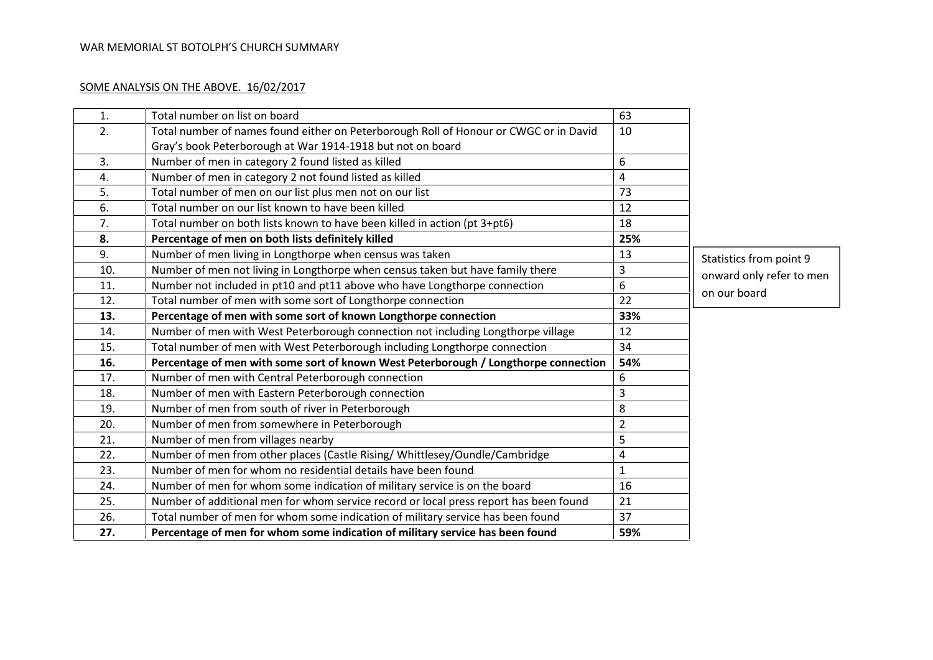## SOME ANALYSIS ON THE ABOVE. 16/02/2017

| 1.  | Total number on list on board                                                         | 63             |                          |
|-----|---------------------------------------------------------------------------------------|----------------|--------------------------|
| 2.  | Total number of names found either on Peterborough Roll of Honour or CWGC or in David | 10             |                          |
|     | Gray's book Peterborough at War 1914-1918 but not on board                            |                |                          |
| 3.  | Number of men in category 2 found listed as killed                                    | 6              |                          |
| 4.  | Number of men in category 2 not found listed as killed                                | 4              |                          |
| 5.  | Total number of men on our list plus men not on our list                              | 73             |                          |
| 6.  | Total number on our list known to have been killed                                    | 12             |                          |
| 7.  | Total number on both lists known to have been killed in action (pt 3+pt6)             | 18             |                          |
| 8.  | Percentage of men on both lists definitely killed                                     | 25%            |                          |
| 9.  | Number of men living in Longthorpe when census was taken                              | 13             | Statistics from point 9  |
| 10. | Number of men not living in Longthorpe when census taken but have family there        | $\mathsf 3$    | onward only refer to men |
| 11. | Number not included in pt10 and pt11 above who have Longthorpe connection             | 6              | on our board             |
| 12. | Total number of men with some sort of Longthorpe connection                           | 22             |                          |
| 13. | Percentage of men with some sort of known Longthorpe connection                       | 33%            |                          |
| 14. | Number of men with West Peterborough connection not including Longthorpe village      | 12             |                          |
| 15. | Total number of men with West Peterborough including Longthorpe connection            | 34             |                          |
| 16. | Percentage of men with some sort of known West Peterborough / Longthorpe connection   | 54%            |                          |
| 17. | Number of men with Central Peterborough connection                                    | 6              |                          |
| 18. | Number of men with Eastern Peterborough connection                                    | 3              |                          |
| 19. | Number of men from south of river in Peterborough                                     | 8              |                          |
| 20. | Number of men from somewhere in Peterborough                                          | $\overline{2}$ |                          |
| 21. | Number of men from villages nearby                                                    | 5              |                          |
| 22. | Number of men from other places (Castle Rising/ Whittlesey/Oundle/Cambridge           | 4              |                          |
| 23. | Number of men for whom no residential details have been found                         | $\mathbf{1}$   |                          |
| 24. | Number of men for whom some indication of military service is on the board            | 16             |                          |
| 25. | Number of additional men for whom service record or local press report has been found | 21             |                          |
| 26. | Total number of men for whom some indication of military service has been found       | 37             |                          |
| 27. | Percentage of men for whom some indication of military service has been found         | 59%            |                          |